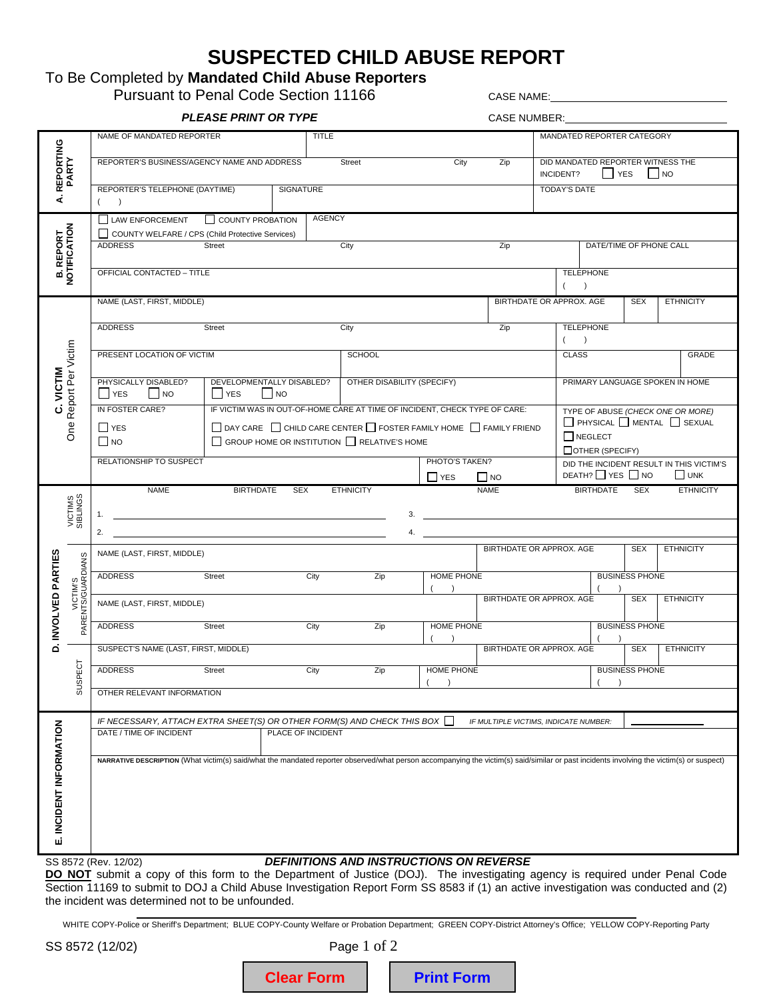# **SUSPECTED CHILD ABUSE REPORT**

## To Be Completed by **Mandated Child Abuse Reporters**

Pursuant to Penal Code Section 11166 CASE NAME:

**PLEASE PRINT OR TYPE** CASE NUMBER: NAME OF MANDATED REPORTER **TITLE** MANDATED REPORTER CATEGORY **PARTY A. REPORTING**  REPORTER'S BUSINESS/AGENCY NAME AND ADDRESS Street Street City Zip DID MANDATED REPORTER WITNESS THE INCIDENT? TES NO REPORTER'S TELEPHONE (DAYTIME) **SIGNATURE** TODAY'S DATE 4  $($   $)$ AGENCY  $\Box$  LAW ENFORCEMENT  $\Box$  COUNTY PROBATION **B. REPORT<br>NOTIFICATION NOTIFICATION B. REPORT**  COUNTY WELFARE / CPS (Child Protective Services) DATE/TIME OF PHONE CALL ADDRESS Street Street City City OFFICIAL CONTACTED – TITLE **TELEPHONE**  $($ NAME (LAST, FIRST, MIDDLE) BIRTHDATE OR APPROX. AGE SEX **ETHNICITY TELEPHONE** ADDRESS Street Street City City  $($ One Report Per Victim One Report Per Victim PRESENT LOCATION OF VICTIM **SCHOOL** CLASS GRADE **C. VICTIM**  C. VICTIM PHYSICALLY DISABLED? DEVELOPMENTALLY DISABLED? OTHER DISABILITY (SPECIFY) PRIMARY LANGUAGE SPOKEN IN HOME  $\Box$  YES  $\Box$  NO  $\Box$  YES  $\Box$  NO IN FOSTER CARE? IF VICTIM WAS IN OUT-OF-HOME CARE AT TIME OF INCIDENT, CHECK TYPE OF CARE: TYPE OF ABUSE *(CHECK ONE OR MORE)*  PHYSICAL MENTAL SEXUAL  $\prod$  YES  $\Box$  DAY CARE  $\Box$  CHILD CARE CENTER  $\Box$  FOSTER FAMILY HOME  $\Box$  FAMILY FRIEND **NEGLECT**  $\Box$  NO  $\Box$  GROUP HOME OR INSTITUTION  $\Box$  RELATIVE'S HOME OTHER (SPECIFY) RELATIONSHIP TO SUSPECT PHOTO'S TAKEN? DID THE INCIDENT RESULT IN THIS VICTIM'S  $DEATH?$  YES  $\Box$  NO  $\Box$  UNK  $\Box$  YES  $\Box$  NO NAME BIRTHDATE SEX ETHNICITY NAME BIRTHDATE SEX ETHNICITY VICTIMS<br>SIBLINGS SIBLINGS VICTIMS 1. 3. 2. 4. BIRTHDATE OR APPROX. AGE SEX **ETHNICITY** NAME (LAST, FIRST, MIDDLE) **D. INVOLVED PARTIES** 입<br>내 PARENTS/GUARDIANS PARENTS/GUARDIANS INVOLVED PARTI HOME PHONE BUSINESS PHONE ADDRESS Street City Zip VICTIM'S  $($  )  $($  ) BIRTHDATE OR APPROX. AGE **ETHNICITY** SEX NAME (LAST, FIRST, MIDDLE) ADDRESS Street City Zip HOME PHONE BUSINESS PHONE  $($  )  $($  ) ة BIRTHDATE OR APPROX. AGE SEX SUSPECT'S NAME (LAST, FIRST, MIDDLE) **ETHNICITY** SUSPECT **SUSPECT ADDRESS** HOME PHONE BUSINESS PHONE ADDRESS Street City Zip  $($  )  $($  ) OTHER RELEVANT INFORMATION *IF NECESSARY, ATTACH EXTRA SHEET(S) OR OTHER FORM(S) AND CHECK THIS BOX IF MULTIPLE VICTIMS, INDICATE NUMBER:* **E. INCIDENT INFORMATION**  INCIDENT INFORMATION DATE / TIME OF INCIDENT PLACE OF INCIDENT **NARRATIVE DESCRIPTION** (What victim(s) said/what the mandated reporter observed/what person accompanying the victim(s) said/similar or past incidents involving the victim(s) or suspect) шÌ SS 8572 (Rev. 12/02) *DEFINITIONS AND INSTRUCTIONS ON REVERSE* 

DO NOT submit a copy of this form to the Department of Justice (DOJ). The investigating agency is required under Penal Code Section 11169 to submit to DOJ a Child Abuse Investigation Report Form SS 8583 if (1) an active investigation was conducted and (2) the incident was determined not to be unfounded.

֦ WHITE COPY-Police or Sheriff's Department; BLUE COPY-County Welfare or Probation Department; GREEN COPY-District Attorney's Office; YELLOW COPY-Reporting Party

SS 8572 (12/02) Page 1 of 2

| <b>Clear Form</b><br><b>Print Form</b> |
|----------------------------------------|
|----------------------------------------|